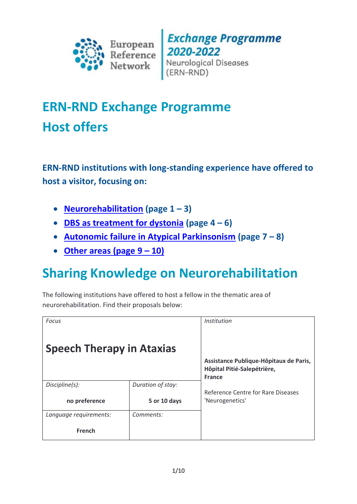

**Exchange Programme** 2020-2022<br>Neurological Diseases (ERN-RND)

# **ERN-RND Exchange Programme Host offers**

**ERN-RND institutions with long-standing experience have offered to host a visitor, focusing on:**

- **[Neurorehabilitation](#page-0-0) (page 1 – 3)**
- **[DBS as treatment for dystonia](#page-3-0) (page 4 – 6)**
- **[Autonomic failure in Atypical Parkinsonism](#page-6-0) (page 7 – 8)**
- **[Other areas \(page 9](#page-8-0) – 10)**

# <span id="page-0-0"></span>**Sharing Knowledge on Neurorehabilitation**

The following institutions have offered to host a fellow in the thematic area of neurorehabilitation. Find their proposals below:

| <b>Focus</b>                     |                   | Institution                                                           |
|----------------------------------|-------------------|-----------------------------------------------------------------------|
| <b>Speech Therapy in Ataxias</b> |                   |                                                                       |
|                                  |                   | Assistance Publique-Hôpitaux de Paris,<br>Hôpital Pitié-Salepétrière, |
|                                  |                   | <b>France</b>                                                         |
| Discipline(s):                   | Duration of stay: |                                                                       |
|                                  |                   | Reference Centre for Rare Diseases                                    |
| no preference                    | 5 or 10 days      | 'Neurogenetics'                                                       |
| Language requirements:           | Comments:         |                                                                       |
| French                           |                   |                                                                       |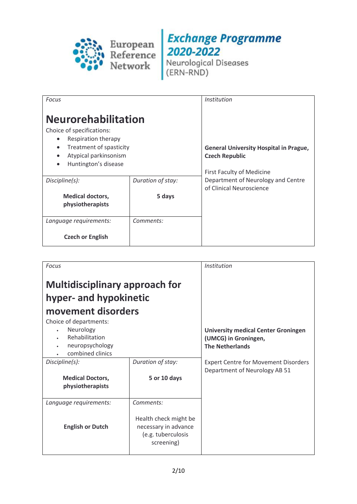

| <b>Focus</b>                                                                                                                                                                                      |                   | <i>Institution</i>                                                                                         |
|---------------------------------------------------------------------------------------------------------------------------------------------------------------------------------------------------|-------------------|------------------------------------------------------------------------------------------------------------|
| <b>Neurorehabilitation</b><br>Choice of specifications:<br>Respiration therapy<br>$\bullet$<br>Treatment of spasticity<br>$\bullet$<br>Atypical parkinsonism<br>Huntington's disease<br>$\bullet$ |                   | <b>General University Hospital in Prague,</b><br><b>Czech Republic</b><br><b>First Faculty of Medicine</b> |
| Discipline(s):                                                                                                                                                                                    | Duration of stay: | Department of Neurology and Centre<br>of Clinical Neuroscience                                             |
| <b>Medical doctors,</b><br>physiotherapists                                                                                                                                                       | 5 days            |                                                                                                            |
| Language requirements:                                                                                                                                                                            | Comments:         |                                                                                                            |
| <b>Czech or English</b>                                                                                                                                                                           |                   |                                                                                                            |

| <b>Focus</b>                                                                                                                                                      |                                                                                   | Institution                                                                                  |
|-------------------------------------------------------------------------------------------------------------------------------------------------------------------|-----------------------------------------------------------------------------------|----------------------------------------------------------------------------------------------|
| <b>Multidisciplinary approach for</b><br>hyper- and hypokinetic<br>movement disorders<br>Choice of departments:<br>Neurology<br>Rehabilitation<br>neuropsychology |                                                                                   | <b>University medical Center Groningen</b><br>(UMCG) in Groningen,<br><b>The Netherlands</b> |
| combined clinics                                                                                                                                                  |                                                                                   |                                                                                              |
| Discipline(s):                                                                                                                                                    | Duration of stay:                                                                 | <b>Expert Centre for Movement Disorders</b><br>Department of Neurology AB 51                 |
| <b>Medical Doctors,</b>                                                                                                                                           | 5 or 10 days                                                                      |                                                                                              |
| physiotherapists                                                                                                                                                  |                                                                                   |                                                                                              |
| Language requirements:                                                                                                                                            | Comments:                                                                         |                                                                                              |
| <b>English or Dutch</b>                                                                                                                                           | Health check might be<br>necessary in advance<br>(e.g. tuberculosis<br>screening) |                                                                                              |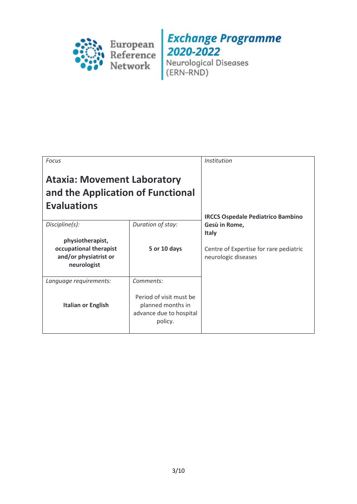

| <b>Focus</b>                                                                                         |                                                                                                 | <i>Institution</i>                                                                                                                         |
|------------------------------------------------------------------------------------------------------|-------------------------------------------------------------------------------------------------|--------------------------------------------------------------------------------------------------------------------------------------------|
| <b>Ataxia: Movement Laboratory</b><br>and the Application of Functional<br><b>Evaluations</b>        |                                                                                                 |                                                                                                                                            |
| Discipline(s):<br>physiotherapist,<br>occupational therapist<br>and/or physiatrist or<br>neurologist | Duration of stay:<br>5 or 10 days                                                               | <b>IRCCS Ospedale Pediatrico Bambino</b><br>Gesù in Rome,<br><b>Italy</b><br>Centre of Expertise for rare pediatric<br>neurologic diseases |
| Language requirements:<br><b>Italian or English</b>                                                  | Comments:<br>Period of visit must be<br>planned months in<br>advance due to hospital<br>policy. |                                                                                                                                            |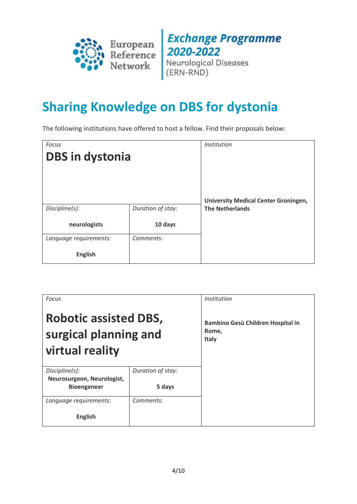

**Exchange Programme 2020-2022**<br>Neurological Diseases<br>(ERN-RND)

## <span id="page-3-0"></span>**Sharing Knowledge on DBS for dystonia**

The following institutions have offered to host a fellow. Find their proposals below:

| <b>Focus</b>           |                   | Institution                                 |
|------------------------|-------------------|---------------------------------------------|
| <b>DBS in dystonia</b> |                   |                                             |
|                        |                   |                                             |
|                        |                   |                                             |
|                        |                   |                                             |
|                        |                   | <b>University Medical Center Groningen,</b> |
| Discipline(s):         | Duration of stay: | <b>The Netherlands</b>                      |
| neurologists           | 10 days           |                                             |
| Language requirements: | Comments:         |                                             |
| <b>English</b>         |                   |                                             |

| <b>Focus</b>                                                             |                   | <i>Institution</i>                                         |
|--------------------------------------------------------------------------|-------------------|------------------------------------------------------------|
| <b>Robotic assisted DBS,</b><br>surgical planning and<br>virtual reality |                   | Bambino Gesù Children Hospital in<br>Rome,<br><b>Italy</b> |
| Discipline(s):                                                           | Duration of stay: |                                                            |
| Neurosurgeon, Neurologist,<br><b>Bioengeneer</b>                         | 5 days            |                                                            |
| Language requirements:                                                   | Comments:         |                                                            |
| <b>English</b>                                                           |                   |                                                            |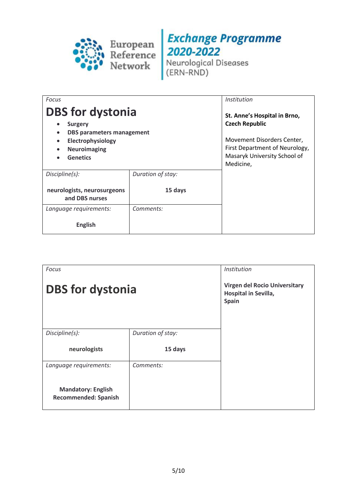

| <b>Focus</b>                                                                                                                                                                                                  |                   | <i>Institution</i>                                                                                                                                                 |
|---------------------------------------------------------------------------------------------------------------------------------------------------------------------------------------------------------------|-------------------|--------------------------------------------------------------------------------------------------------------------------------------------------------------------|
| <b>DBS</b> for dystonia<br><b>Surgery</b><br>$\bullet$<br><b>DBS parameters management</b><br>$\bullet$<br>Electrophysiology<br>$\bullet$<br><b>Neuroimaging</b><br>$\bullet$<br><b>Genetics</b><br>$\bullet$ |                   | St. Anne's Hospital in Brno,<br><b>Czech Republic</b><br>Movement Disorders Center,<br>First Department of Neurology,<br>Masaryk University School of<br>Medicine, |
| Discipline(s):                                                                                                                                                                                                | Duration of stay: |                                                                                                                                                                    |
| neurologists, neurosurgeons<br>and DBS nurses                                                                                                                                                                 | 15 days           |                                                                                                                                                                    |
| Language requirements:                                                                                                                                                                                        | Comments:         |                                                                                                                                                                    |
| English                                                                                                                                                                                                       |                   |                                                                                                                                                                    |

| <b>Focus</b>                                             |                   | Institution                                                           |
|----------------------------------------------------------|-------------------|-----------------------------------------------------------------------|
| <b>DBS</b> for dystonia                                  |                   | <b>Virgen del Rocio Universitary</b><br>Hospital in Sevilla,<br>Spain |
| Discipline(s):                                           | Duration of stay: |                                                                       |
| neurologists                                             | 15 days           |                                                                       |
| Language requirements:                                   | Comments:         |                                                                       |
| <b>Mandatory: English</b><br><b>Recommended: Spanish</b> |                   |                                                                       |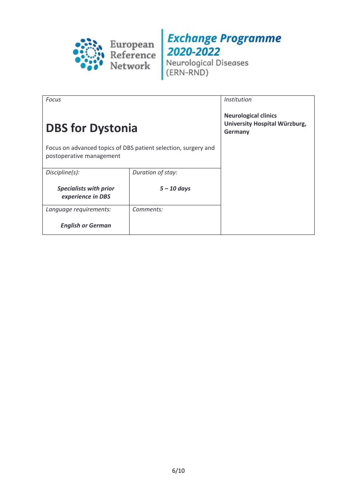

| <b>Focus</b>                                                                               |                   | <i>Institution</i>                                                      |
|--------------------------------------------------------------------------------------------|-------------------|-------------------------------------------------------------------------|
| <b>DBS for Dystonia</b>                                                                    |                   | <b>Neurological clinics</b><br>University Hospital Würzburg,<br>Germany |
| Focus on advanced topics of DBS patient selection, surgery and<br>postoperative management |                   |                                                                         |
| Discipline(s):                                                                             | Duration of stay: |                                                                         |
| <b>Specialists with prior</b><br>experience in DBS                                         | $5 - 10$ days     |                                                                         |
| Language requirements:                                                                     | Comments:         |                                                                         |
| <b>English or German</b>                                                                   |                   |                                                                         |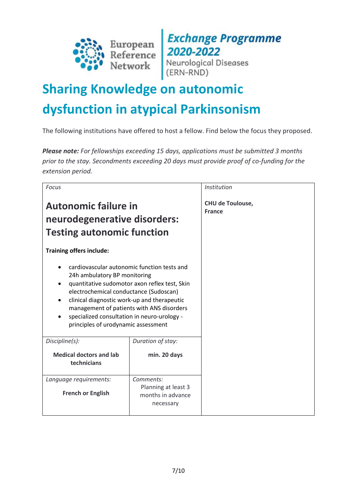

**Exchange Programme**<br>2020-2022<br>Neurological Diseases<br>(ERN-RND)

# <span id="page-6-0"></span>**Sharing Knowledge on autonomic dysfunction in atypical Parkinsonism**

The following institutions have offered to host a fellow. Find below the focus they proposed.

*Please note: For fellowships exceeding 15 days, applications must be submitted 3 months prior to the stay. Secondments exceeding 20 days must provide proof of co-funding for the extension period.*

| Focus                                                                                                                                                                                                                                                                                                                                                    |                                                                    | Institution                              |
|----------------------------------------------------------------------------------------------------------------------------------------------------------------------------------------------------------------------------------------------------------------------------------------------------------------------------------------------------------|--------------------------------------------------------------------|------------------------------------------|
| <b>Autonomic failure in</b><br>neurodegenerative disorders:<br><b>Testing autonomic function</b>                                                                                                                                                                                                                                                         |                                                                    | <b>CHU de Toulouse,</b><br><b>France</b> |
| <b>Training offers include:</b>                                                                                                                                                                                                                                                                                                                          |                                                                    |                                          |
| cardiovascular autonomic function tests and<br>24h ambulatory BP monitoring<br>quantitative sudomotor axon reflex test, Skin<br>electrochemical conductance (Sudoscan)<br>clinical diagnostic work-up and therapeutic<br>management of patients with ANS disorders<br>specialized consultation in neuro-urology -<br>principles of urodynamic assessment |                                                                    |                                          |
| Discipline(s):                                                                                                                                                                                                                                                                                                                                           | Duration of stay:                                                  |                                          |
| <b>Medical doctors and lab</b><br>technicians                                                                                                                                                                                                                                                                                                            | min. 20 days                                                       |                                          |
| Language requirements:<br><b>French or English</b>                                                                                                                                                                                                                                                                                                       | Comments:<br>Planning at least 3<br>months in advance<br>necessary |                                          |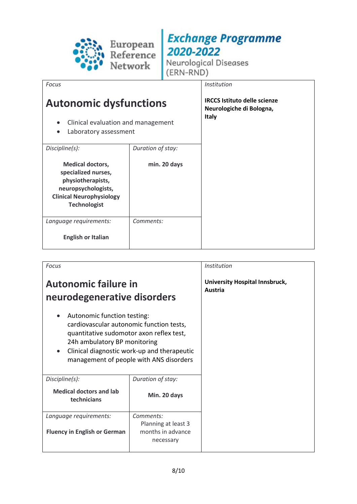

Neurological Diseases (ERN-RND)

*Focus*

## **Autonomic dysfunctions**

- Clinical evaluation and management
- Laboratory assessment

| Discipline(s):                                                                                                                                       | Duration of stay: |
|------------------------------------------------------------------------------------------------------------------------------------------------------|-------------------|
| <b>Medical doctors,</b><br>specialized nurses,<br>physiotherapists,<br>neuropsychologists,<br><b>Clinical Neurophysiology</b><br><b>Technologist</b> | min. 20 days      |
| Language requirements:<br><b>English or Italian</b>                                                                                                  | Comments:         |

*Institution*

**IRCCS Istituto delle scienze Neurologiche di Bologna, Italy**

| <b>Focus</b>                                                                                                                                                                                                                                                            |                                                                    | <i>Institution</i>                        |
|-------------------------------------------------------------------------------------------------------------------------------------------------------------------------------------------------------------------------------------------------------------------------|--------------------------------------------------------------------|-------------------------------------------|
| <b>Autonomic failure in</b><br>neurodegenerative disorders                                                                                                                                                                                                              |                                                                    | University Hospital Innsbruck,<br>Austria |
| Autonomic function testing:<br>$\bullet$<br>cardiovascular autonomic function tests,<br>quantitative sudomotor axon reflex test,<br>24h ambulatory BP monitoring<br>Clinical diagnostic work-up and therapeutic<br>$\bullet$<br>management of people with ANS disorders |                                                                    |                                           |
| Discipline(s):                                                                                                                                                                                                                                                          | Duration of stay:                                                  |                                           |
| <b>Medical doctors and lab</b><br>technicians                                                                                                                                                                                                                           | Min. 20 days                                                       |                                           |
| Language requirements:<br><b>Fluency in English or German</b>                                                                                                                                                                                                           | Comments:<br>Planning at least 3<br>months in advance<br>necessary |                                           |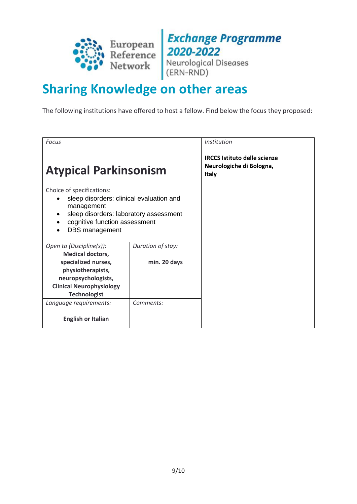

**Exchange Programme** 2020-2022<br>Neurological Diseases<br>(ERN-RND)

# <span id="page-8-0"></span>**Sharing Knowledge on other areas**

The following institutions have offered to host a fellow. Find below the focus they proposed:

| Focus                                                                                                                                                                                                |                   | Institution                                                                     |
|------------------------------------------------------------------------------------------------------------------------------------------------------------------------------------------------------|-------------------|---------------------------------------------------------------------------------|
| <b>Atypical Parkinsonism</b>                                                                                                                                                                         |                   | <b>IRCCS Istituto delle scienze</b><br>Neurologiche di Bologna,<br><b>Italy</b> |
| Choice of specifications:<br>sleep disorders: clinical evaluation and<br>$\bullet$<br>management<br>sleep disorders: laboratory assessment<br>cognitive function assessment<br><b>DBS</b> management |                   |                                                                                 |
| Open to (Discipline(s)):                                                                                                                                                                             | Duration of stay: |                                                                                 |
| <b>Medical doctors,</b>                                                                                                                                                                              |                   |                                                                                 |
| specialized nurses,                                                                                                                                                                                  | min. 20 days      |                                                                                 |
| physiotherapists,                                                                                                                                                                                    |                   |                                                                                 |
| neuropsychologists,<br><b>Clinical Neurophysiology</b>                                                                                                                                               |                   |                                                                                 |
| <b>Technologist</b>                                                                                                                                                                                  |                   |                                                                                 |
| Language requirements:                                                                                                                                                                               | Comments:         |                                                                                 |
| <b>English or Italian</b>                                                                                                                                                                            |                   |                                                                                 |